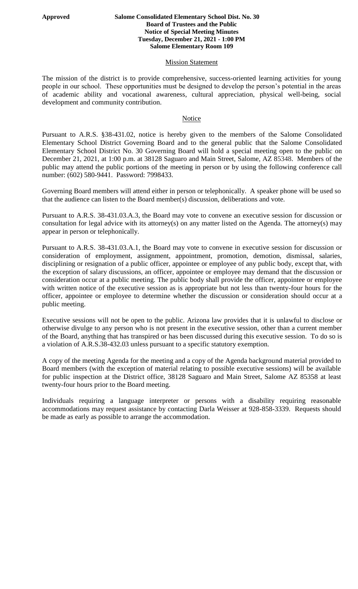## **Approved Salome Consolidated Elementary School Dist. No. 30 Board of Trustees and the Public Notice of Special Meeting Minutes Tuesday, December 21, 2021 - 1:00 PM Salome Elementary Room 109**

## **Mission Statement**

The mission of the district is to provide comprehensive, success-oriented learning activities for young people in our school. These opportunities must be designed to develop the person's potential in the areas of academic ability and vocational awareness, cultural appreciation, physical well-being, social development and community contribution.

## Notice

Pursuant to A.R.S. §38-431.02, notice is hereby given to the members of the Salome Consolidated Elementary School District Governing Board and to the general public that the Salome Consolidated Elementary School District No. 30 Governing Board will hold a special meeting open to the public on December 21, 2021, at 1:00 p.m. at 38128 Saguaro and Main Street, Salome, AZ 85348. Members of the public may attend the public portions of the meeting in person or by using the following conference call number: (602) 580-9441. Password: 7998433.

Governing Board members will attend either in person or telephonically. A speaker phone will be used so that the audience can listen to the Board member(s) discussion, deliberations and vote.

Pursuant to A.R.S. 38-431.03.A.3, the Board may vote to convene an executive session for discussion or consultation for legal advice with its attorney(s) on any matter listed on the Agenda. The attorney(s) may appear in person or telephonically.

Pursuant to A.R.S. 38-431.03.A.1, the Board may vote to convene in executive session for discussion or consideration of employment, assignment, appointment, promotion, demotion, dismissal, salaries, disciplining or resignation of a public officer, appointee or employee of any public body, except that, with the exception of salary discussions, an officer, appointee or employee may demand that the discussion or consideration occur at a public meeting. The public body shall provide the officer, appointee or employee with written notice of the executive session as is appropriate but not less than twenty-four hours for the officer, appointee or employee to determine whether the discussion or consideration should occur at a public meeting.

Executive sessions will not be open to the public. Arizona law provides that it is unlawful to disclose or otherwise divulge to any person who is not present in the executive session, other than a current member of the Board, anything that has transpired or has been discussed during this executive session. To do so is a violation of A.R.S.38-432.03 unless pursuant to a specific statutory exemption.

A copy of the meeting Agenda for the meeting and a copy of the Agenda background material provided to Board members (with the exception of material relating to possible executive sessions) will be available for public inspection at the District office, 38128 Saguaro and Main Street, Salome AZ 85358 at least twenty-four hours prior to the Board meeting.

Individuals requiring a language interpreter or persons with a disability requiring reasonable accommodations may request assistance by contacting Darla Weisser at 928-858-3339. Requests should be made as early as possible to arrange the accommodation.